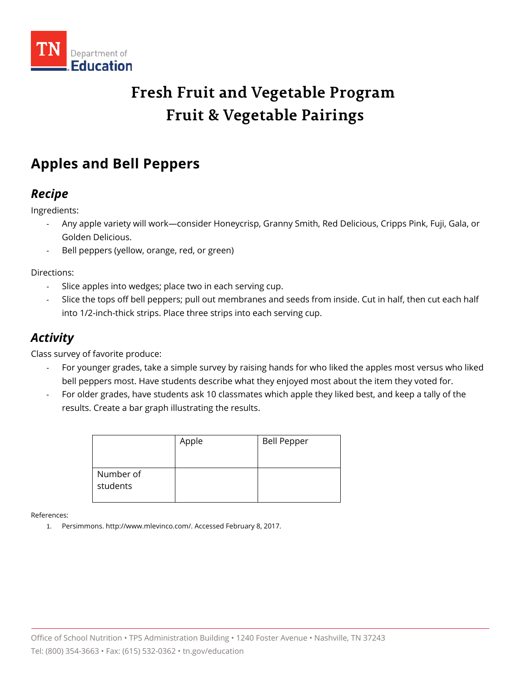

# **Fresh Fruit and Vegetable Program Fruit & Vegetable Pairings**

## **Apples and Bell Peppers**

### *Recipe*

Ingredients:

- Any apple variety will work—consider Honeycrisp, Granny Smith, Red Delicious, Cripps Pink, Fuji, Gala, or Golden Delicious.
- Bell peppers (yellow, orange, red, or green)

Directions:

- Slice apples into wedges; place two in each serving cup.
- Slice the tops off bell peppers; pull out membranes and seeds from inside. Cut in half, then cut each half into 1/2-inch-thick strips. Place three strips into each serving cup.

### *Activity*

Class survey of favorite produce:

- For younger grades, take a simple survey by raising hands for who liked the apples most versus who liked bell peppers most. Have students describe what they enjoyed most about the item they voted for.
- For older grades, have students ask 10 classmates which apple they liked best, and keep a tally of the results. Create a bar graph illustrating the results.

|                       | Apple | <b>Bell Pepper</b> |
|-----------------------|-------|--------------------|
| Number of<br>students |       |                    |

References:

1. Persimmons. http://www.mlevinco.com/. Accessed February 8, 2017.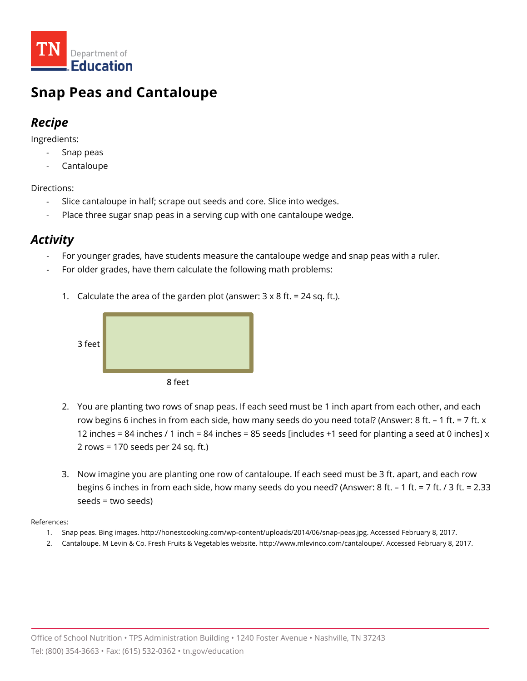

## **Snap Peas and Cantaloupe**

### *Recipe*

Ingredients:

- Snap peas
- **Cantaloupe**

Directions:

- Slice cantaloupe in half; scrape out seeds and core. Slice into wedges.
- Place three sugar snap peas in a serving cup with one cantaloupe wedge.

### *Activity*

- For younger grades, have students measure the cantaloupe wedge and snap peas with a ruler.
- For older grades, have them calculate the following math problems:
	- 1. Calculate the area of the garden plot (answer:  $3 \times 8$  ft. = 24 sq. ft.).



- 2. You are planting two rows of snap peas. If each seed must be 1 inch apart from each other, and each row begins 6 inches in from each side, how many seeds do you need total? (Answer: 8 ft.  $-1$  ft. = 7 ft. x 12 inches = 84 inches / 1 inch = 84 inches = 85 seeds [includes +1 seed for planting a seed at 0 inches]  $\times$ 2 rows = 170 seeds per 24 sq. ft.)
- 3. Now imagine you are planting one row of cantaloupe. If each seed must be 3 ft. apart, and each row begins 6 inches in from each side, how many seeds do you need? (Answer: 8 ft. – 1 ft. = 7 ft. / 3 ft. = 2.33 seeds = two seeds)

- 1. Snap peas. Bing images. http://honestcooking.com/wp-content/uploads/2014/06/snap-peas.jpg. Accessed February 8, 2017.
- 2. Cantaloupe. M Levin & Co. Fresh Fruits & Vegetables website. http://www.mlevinco.com/cantaloupe/. Accessed February 8, 2017.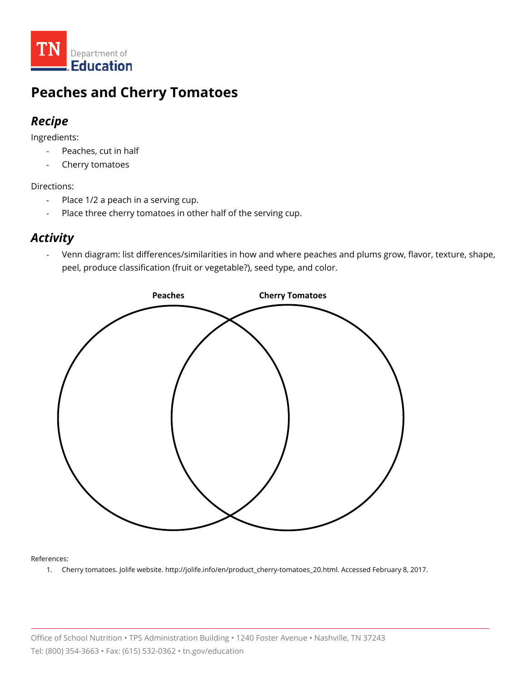

### **Peaches and Cherry Tomatoes**

#### *Recipe*

Ingredients:

- Peaches, cut in half
- Cherry tomatoes

#### Directions:

- Place 1/2 a peach in a serving cup.
- Place three cherry tomatoes in other half of the serving cup.

#### *Activity*

- Venn diagram: list differences/similarities in how and where peaches and plums grow, flavor, texture, shape, peel, produce classification (fruit or vegetable?), seed type, and color.



#### References:

1. Cherry tomatoes. Jolife website. http://jolife.info/en/product\_cherry-tomatoes\_20.html. Accessed February 8, 2017.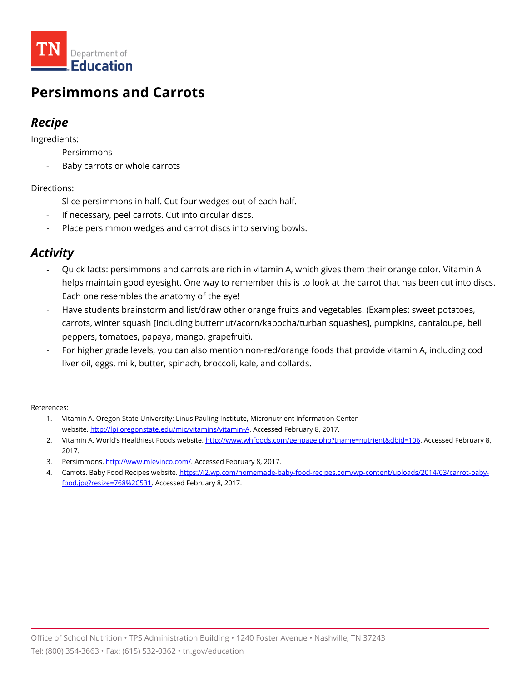

### **Persimmons and Carrots**

### *Recipe*

Ingredients:

- **Persimmons**
- Baby carrots or whole carrots

Directions:

- Slice persimmons in half. Cut four wedges out of each half.
- If necessary, peel carrots. Cut into circular discs.
- Place persimmon wedges and carrot discs into serving bowls.

### *Activity*

- Quick facts: persimmons and carrots are rich in vitamin A, which gives them their orange color. Vitamin A helps maintain good eyesight. One way to remember this is to look at the carrot that has been cut into discs. Each one resembles the anatomy of the eye!
- Have students brainstorm and list/draw other orange fruits and vegetables. (Examples: sweet potatoes, carrots, winter squash [including butternut/acorn/kabocha/turban squashes], pumpkins, cantaloupe, bell peppers, tomatoes, papaya, mango, grapefruit).
- For higher grade levels, you can also mention non-red/orange foods that provide vitamin A, including cod liver oil, eggs, milk, butter, spinach, broccoli, kale, and collards.

- 1. Vitamin A. Oregon State University: Linus Pauling Institute, Micronutrient Information Center website. [http://lpi.oregonstate.edu/mic/vitamins/vitamin-A.](http://lpi.oregonstate.edu/mic/vitamins/vitamin-A) Accessed February 8, 2017.
- 2. Vitamin A. World's Healthiest Foods website. [http://www.whfoods.com/genpage.php?tname=nutrient&dbid=106.](http://www.whfoods.com/genpage.php?tname=nutrient&dbid=106) Accessed February 8, 2017.
- 3. Persimmons. [http://www.mlevinco.com/.](http://www.mlevinco.com/) Accessed February 8, 2017.
- 4. Carrots. Baby Food Recipes website[. https://i2.wp.com/homemade-baby-food-recipes.com/wp-content/uploads/2014/03/carrot-baby](https://i2.wp.com/homemade-baby-food-recipes.com/wp-content/uploads/2014/03/carrot-baby-food.jpg?resize=768%2C531)[food.jpg?resize=768%2C531.](https://i2.wp.com/homemade-baby-food-recipes.com/wp-content/uploads/2014/03/carrot-baby-food.jpg?resize=768%2C531) Accessed February 8, 2017.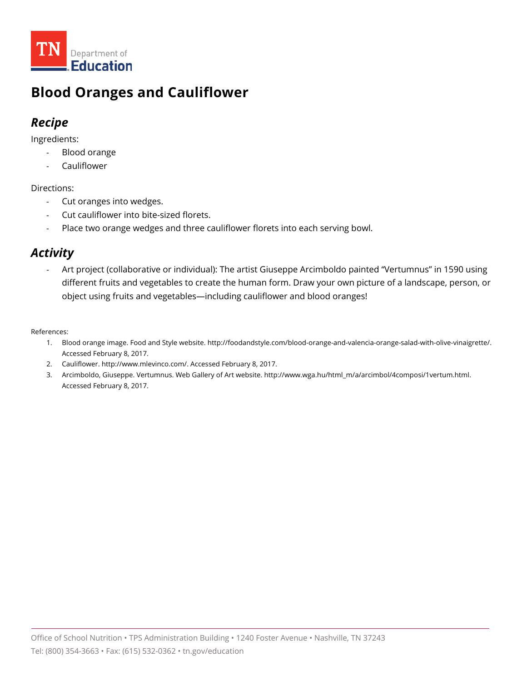

## **Blood Oranges and Cauliflower**

### *Recipe*

Ingredients:

- Blood orange
- **Cauliflower**

Directions:

- Cut oranges into wedges.
- Cut cauliflower into bite-sized florets.
- Place two orange wedges and three cauliflower florets into each serving bowl.

### *Activity*

Art project (collaborative or individual): The artist Giuseppe Arcimboldo painted "Vertumnus" in 1590 using different fruits and vegetables to create the human form. Draw your own picture of a landscape, person, or object using fruits and vegetables—including cauliflower and blood oranges!

- 1. Blood orange image. Food and Style website. http://foodandstyle.com/blood-orange-and-valencia-orange-salad-with-olive-vinaigrette/. Accessed February 8, 2017.
- 2. Cauliflower. http://www.mlevinco.com/. Accessed February 8, 2017.
- 3. Arcimboldo, Giuseppe. Vertumnus. Web Gallery of Art website. http://www.wga.hu/html\_m/a/arcimbol/4composi/1vertum.html. Accessed February 8, 2017.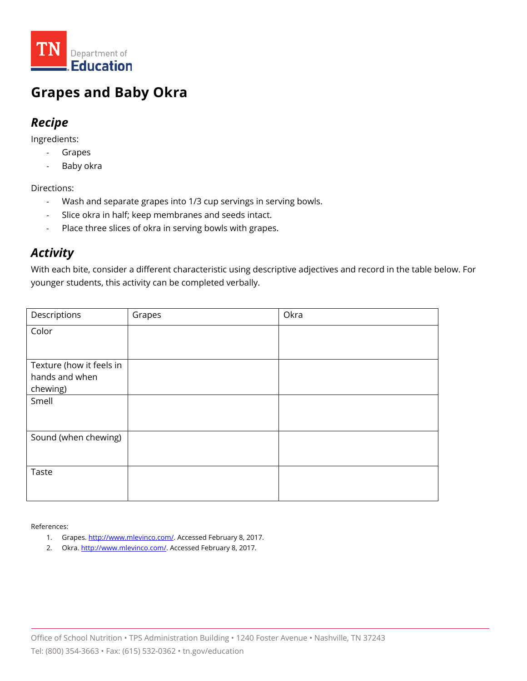

### **Grapes and Baby Okra**

#### *Recipe*

Ingredients:

- Grapes
- Baby okra

Directions:

- Wash and separate grapes into 1/3 cup servings in serving bowls.
- Slice okra in half; keep membranes and seeds intact.
- Place three slices of okra in serving bowls with grapes.

### *Activity*

With each bite, consider a different characteristic using descriptive adjectives and record in the table below. For younger students, this activity can be completed verbally.

| Descriptions             | Grapes | Okra |
|--------------------------|--------|------|
| Color                    |        |      |
|                          |        |      |
| Texture (how it feels in |        |      |
| hands and when           |        |      |
| chewing)                 |        |      |
| Smell                    |        |      |
|                          |        |      |
| Sound (when chewing)     |        |      |
|                          |        |      |
| Taste                    |        |      |
|                          |        |      |
|                          |        |      |

- 1. Grapes. [http://www.mlevinco.com/.](http://www.mlevinco.com/) Accessed February 8, 2017.
- 2. Okra[. http://www.mlevinco.com/.](http://www.mlevinco.com/) Accessed February 8, 2017.